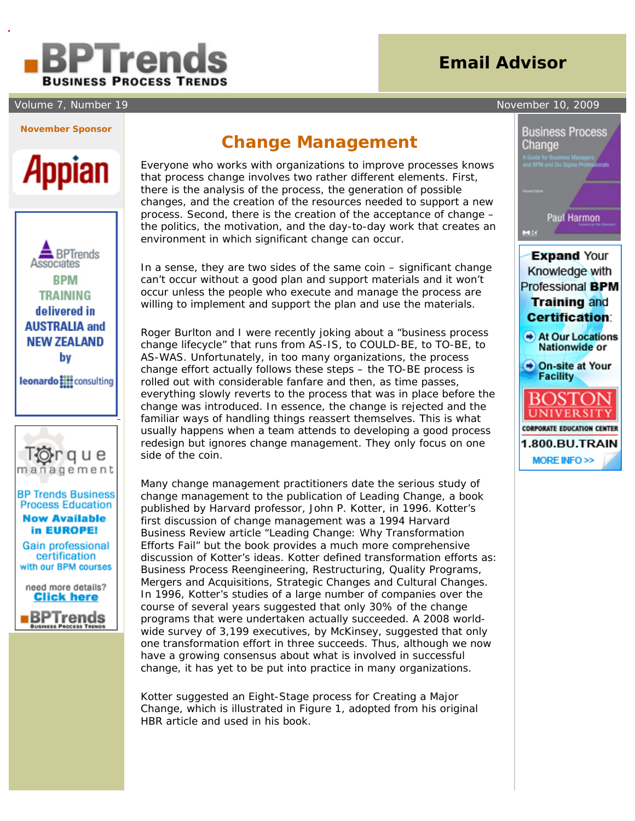# Treno **BUSINESS PROCESS TRENDS**

#### Volume 7, Number 19 November 10, 2009

# **Email Advisor**



# Appian





### **BP Trends Business Process Education**

**Now Available** in EUROPE!

Gain professional certification with our BPM courses



## **Change Management**

 Everyone who works with organizations to improve processes knows that process change involves two rather different elements. First, there is the analysis of the process, the generation of possible changes, and the creation of the resources needed to support a new process. Second, there is the creation of the acceptance of change – the politics, the motivation, and the day-to-day work that creates an environment in which significant change can occur.

In a sense, they are two sides of the same coin – significant change can't occur without a good plan and support materials and it won't occur unless the people who execute and manage the process are willing to implement and support the plan and use the materials.

Roger Burlton and I were recently joking about a "business process change lifecycle" that runs from AS-IS, to COULD-BE, to TO-BE, to AS-WAS. Unfortunately, in too many organizations, the process change effort actually follows these steps – the TO-BE process is rolled out with considerable fanfare and then, as time passes, everything slowly reverts to the process that was in place before the change was introduced. In essence, the change is rejected and the familiar ways of handling things reassert themselves. This is what usually happens when a team attends to developing a good process redesign but ignores change management. They only focus on one side of the coin.

Many change management practitioners date the serious study of change management to the publication of *Leading Change*, a book published by Harvard professor, John P. Kotter, in 1996. Kotter's first discussion of change management was a 1994 *Harvard Business Review* article "Leading Change: Why Transformation Efforts Fail" but the book provides a much more comprehensive discussion of Kotter's ideas. Kotter defined transformation efforts as: Business Process Reengineering, Restructuring, Quality Programs, Mergers and Acquisitions, Strategic Changes and Cultural Changes. In 1996, Kotter's studies of a large number of companies over the course of several years suggested that only 30% of the change programs that were undertaken actually succeeded. A 2008 worldwide survey of 3,199 executives, by McKinsey, suggested that only one transformation effort in three succeeds. Thus, although we now have a growing consensus about what is involved in successful change, it has yet to be put into practice in many organizations.

Kotter suggested an Eight-Stage process for Creating a Major Change, which is illustrated in Figure 1, adopted from his original HBR article and used in his book.



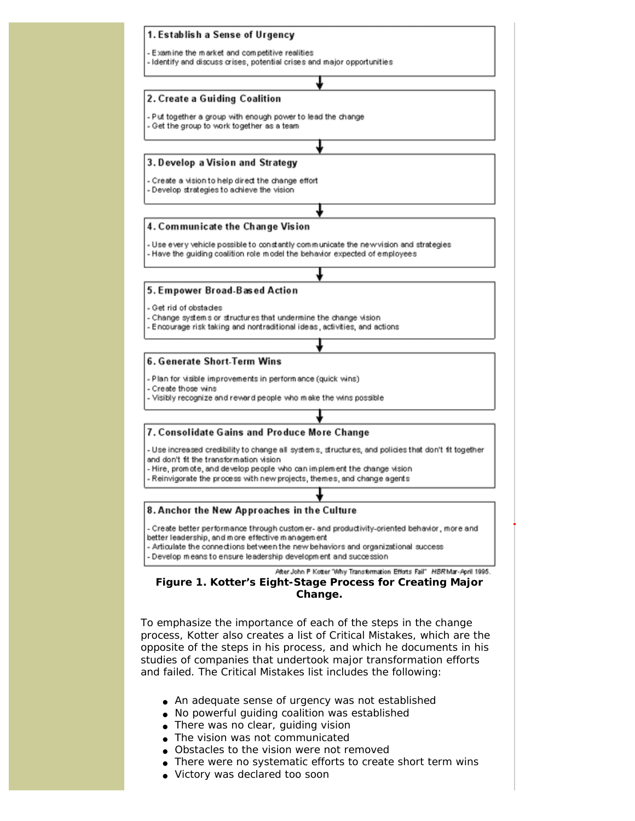

- No powerful guiding coalition was established
- There was no clear, guiding vision
- The vision was not communicated
- Obstacles to the vision were not removed
- There were no systematic efforts to create short term wins
- Victory was declared too soon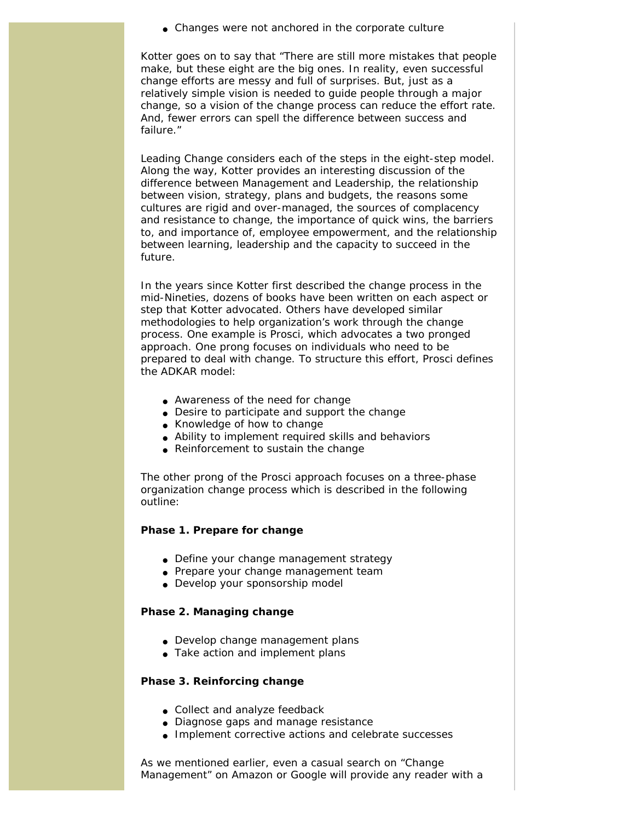• Changes were not anchored in the corporate culture

Kotter goes on to say that "There are still more mistakes that people make, but these eight are the big ones. In reality, even successful change efforts are messy and full of surprises. But, just as a relatively simple vision is needed to guide people through a major change, so a vision of the change process can reduce the effort rate. And, fewer errors can spell the difference between success and failure."

*Leading Change* considers each of the steps in the eight-step model. Along the way, Kotter provides an interesting discussion of the difference between Management and Leadership, the relationship between vision, strategy, plans and budgets, the reasons some cultures are rigid and over-managed, the sources of complacency and resistance to change, the importance of quick wins, the barriers to, and importance of, employee empowerment, and the relationship between learning, leadership and the capacity to succeed in the future.

In the years since Kotter first described the change process in the mid-Nineties, dozens of books have been written on each aspect or step that Kotter advocated. Others have developed similar methodologies to help organization's work through the change process. One example is Prosci, which advocates a two pronged approach. One prong focuses on individuals who need to be prepared to deal with change. To structure this effort, Prosci defines the ADKAR model:

- Awareness of the need for change
- Desire to participate and support the change
- Knowledge of how to change
- Ability to implement required skills and behaviors
- Reinforcement to sustain the change

The other prong of the Prosci approach focuses on a three-phase organization change process which is described in the following outline:

#### **Phase 1. Prepare for change**

- Define your change management strategy
- Prepare your change management team
- Develop your sponsorship model

#### **Phase 2. Managing change**

- Develop change management plans
- Take action and implement plans

#### **Phase 3. Reinforcing change**

- Collect and analyze feedback
- Diagnose gaps and manage resistance
- Implement corrective actions and celebrate successes

As we mentioned earlier, even a casual search on "Change Management" on Amazon or Google will provide any reader with a